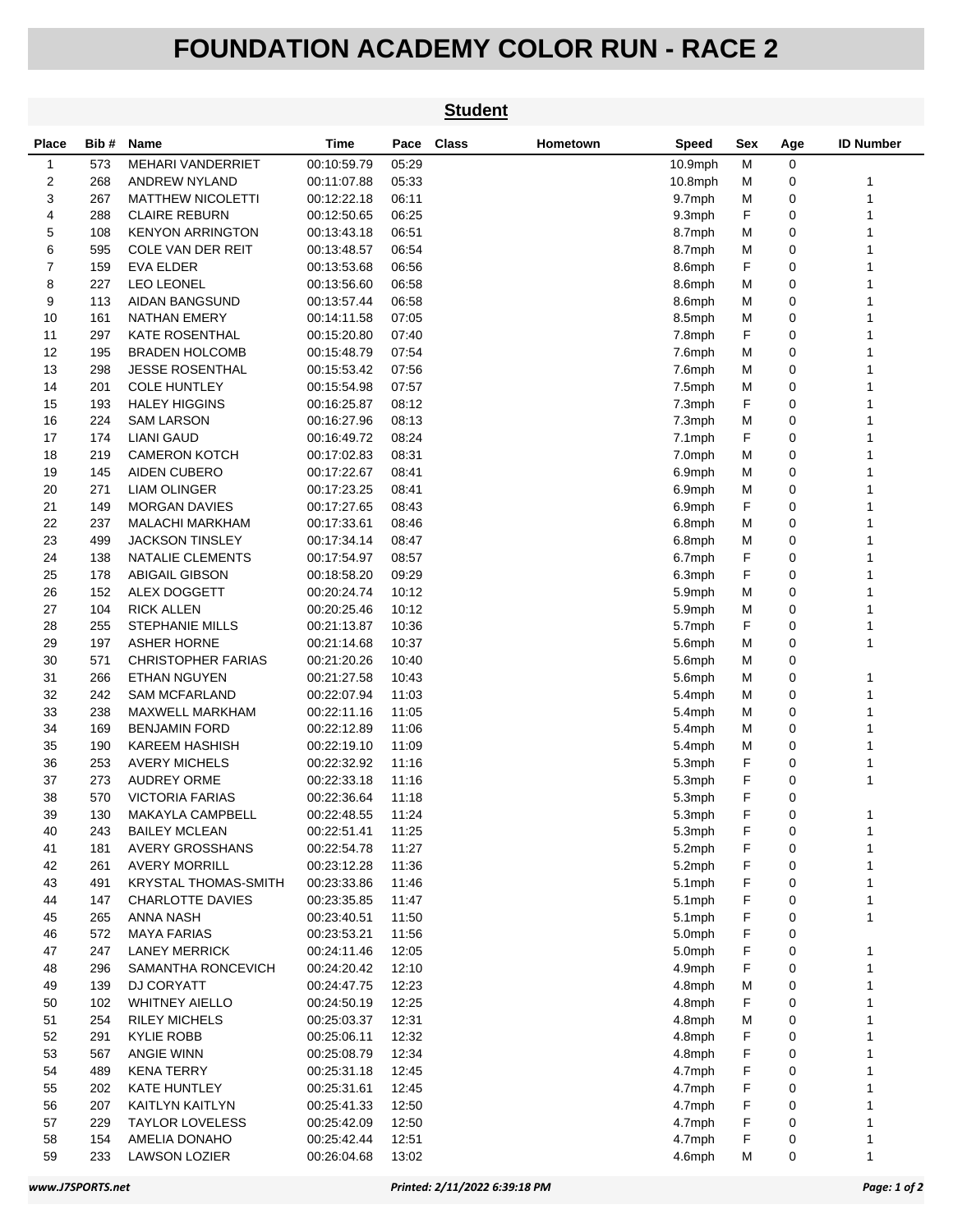## **FOUNDATION ACADEMY COLOR RUN - RACE 2**

|              |            |                                           |                            |                | <b>Student</b> |          |                  |        |        |                  |
|--------------|------------|-------------------------------------------|----------------------------|----------------|----------------|----------|------------------|--------|--------|------------------|
| Place        | Bib#       | Name                                      | Time                       | Pace           | <b>Class</b>   | Hometown | Speed            | Sex    | Age    | <b>ID Number</b> |
| $\mathbf{1}$ | 573        | <b>MEHARI VANDERRIET</b>                  | 00:10:59.79                | 05:29          |                |          | $10.9$ mph       | М      | 0      |                  |
| 2            | 268        | <b>ANDREW NYLAND</b>                      | 00:11:07.88                | 05:33          |                |          | $10.8$ mph       | М      | 0      | 1                |
| 3            | 267        | <b>MATTHEW NICOLETTI</b>                  | 00:12:22.18                | 06:11          |                |          | 9.7mph           | M      | 0      | 1                |
| 4            | 288        | <b>CLAIRE REBURN</b>                      | 00:12:50.65                | 06:25          |                |          | 9.3mph           | F      | 0      |                  |
| 5            | 108        | <b>KENYON ARRINGTON</b>                   | 00:13:43.18                | 06:51          |                |          | 8.7mph           | M      | 0      | 1                |
| 6            | 595        | COLE VAN DER REIT                         | 00:13:48.57                | 06:54          |                |          | 8.7mph           | М      | 0      | 1                |
| 7            | 159        | EVA ELDER                                 | 00:13:53.68                | 06:56          |                |          | 8.6mph           | F      | 0      | 1                |
| 8            | 227        | <b>LEO LEONEL</b>                         | 00:13:56.60                | 06:58          |                |          | 8.6mph           | м      | 0      | 1                |
| 9            | 113        | <b>AIDAN BANGSUND</b>                     | 00:13:57.44                | 06:58          |                |          | 8.6mph           | М      | 0      | 1                |
| 10           | 161        | <b>NATHAN EMERY</b>                       | 00:14:11.58                | 07:05          |                |          | 8.5mph           | М      | 0      |                  |
| 11           | 297        | <b>KATE ROSENTHAL</b>                     | 00:15:20.80                | 07:40          |                |          | 7.8mph           | F      | 0      |                  |
| 12           | 195        | <b>BRADEN HOLCOMB</b>                     | 00:15:48.79                | 07:54          |                |          | 7.6mph           | М      | 0      | 1                |
| 13           | 298        | <b>JESSE ROSENTHAL</b>                    | 00:15:53.42                | 07:56          |                |          | 7.6mph           | М      | 0      | 1                |
| 14<br>15     | 201<br>193 | <b>COLE HUNTLEY</b>                       | 00:15:54.98                | 07:57          |                |          | 7.5mph           | М<br>F | 0<br>0 | 1<br>1           |
| 16           | 224        | <b>HALEY HIGGINS</b><br><b>SAM LARSON</b> | 00:16:25.87<br>00:16:27.96 | 08:12          |                |          | 7.3mph           | M      | 0      |                  |
| 17           | 174        | <b>LIANI GAUD</b>                         | 00:16:49.72                | 08:13<br>08:24 |                |          | 7.3mph           | F      | 0      | 1                |
| 18           | 219        | <b>CAMERON KOTCH</b>                      | 00:17:02.83                | 08:31          |                |          | 7.1mph<br>7.0mph | М      | 0      | 1                |
| 19           | 145        | <b>AIDEN CUBERO</b>                       | 00:17:22.67                | 08:41          |                |          | 6.9mph           | м      | 0      | 1                |
| 20           | 271        | <b>LIAM OLINGER</b>                       | 00:17:23.25                | 08:41          |                |          | 6.9mph           | м      | 0      | 1                |
| 21           | 149        | <b>MORGAN DAVIES</b>                      | 00:17:27.65                | 08:43          |                |          | 6.9mph           | F      | 0      | 1                |
| 22           | 237        | <b>MALACHI MARKHAM</b>                    | 00:17:33.61                | 08:46          |                |          | 6.8mph           | М      | 0      |                  |
| 23           | 499        | <b>JACKSON TINSLEY</b>                    | 00:17:34.14                | 08:47          |                |          | 6.8mph           | M      | 0      | 1                |
| 24           | 138        | NATALIE CLEMENTS                          | 00:17:54.97                | 08:57          |                |          | 6.7mph           | F      | 0      | 1                |
| 25           | 178        | ABIGAIL GIBSON                            | 00:18:58.20                | 09:29          |                |          | 6.3mph           | F      | 0      | 1                |
| 26           | 152        | ALEX DOGGETT                              | 00:20:24.74                | 10:12          |                |          | 5.9mph           | M      | 0      | 1                |
| 27           | 104        | <b>RICK ALLEN</b>                         | 00:20:25.46                | 10:12          |                |          | 5.9mph           | M      | 0      | 1                |
| 28           | 255        | <b>STEPHANIE MILLS</b>                    | 00:21:13.87                | 10:36          |                |          | 5.7mph           | F      | 0      |                  |
| 29           | 197        | <b>ASHER HORNE</b>                        | 00:21:14.68                | 10:37          |                |          | 5.6mph           | М      | 0      | 1                |
| 30           | 571        | <b>CHRISTOPHER FARIAS</b>                 | 00:21:20.26                | 10:40          |                |          | 5.6mph           | м      | 0      |                  |
| 31           | 266        | ETHAN NGUYEN                              | 00:21:27.58                | 10:43          |                |          | 5.6mph           | м      | 0      | 1                |
| 32           | 242        | <b>SAM MCFARLAND</b>                      | 00:22:07.94                | 11:03          |                |          | 5.4mph           | м      | 0      | 1                |
| 33           | 238        | MAXWELL MARKHAM                           | 00:22:11.16                | 11:05          |                |          | 5.4mph           | М      | 0      | 1                |
| 34           | 169        | <b>BENJAMIN FORD</b>                      | 00:22:12.89                | 11:06          |                |          | 5.4mph           | М      | 0      |                  |
| 35           | 190        | <b>KAREEM HASHISH</b>                     | 00:22:19.10                | 11:09          |                |          | 5.4mph           | M      | 0      | 1                |
| 36           | 253        | <b>AVERY MICHELS</b>                      | 00:22:32.92                | 11:16          |                |          | 5.3mph           | F      | 0      | 1                |
| 37           | 273        | <b>AUDREY ORME</b>                        | 00:22:33.18                | 11:16          |                |          | 5.3mph           | F      | 0      | 1                |
| 38           | 570        | <b>VICTORIA FARIAS</b>                    | 00:22:36.64                | 11:18          |                |          | 5.3mph           | F      | 0      |                  |
| 39           | 130        | MAKAYLA CAMPBELL                          | 00:22:48.55                | 11:24          |                |          | 5.3mph           | F      | 0      | 1                |
| 40           | 243        | <b>BAILEY MCLEAN</b>                      | 00:22:51.41                | 11:25          |                |          | 5.3mph           | F      | 0      | 1                |
| 41           | 181        | <b>AVERY GROSSHANS</b>                    | 00:22:54.78                | 11:27          |                |          | 5.2mph           | F      | 0      | 1                |
| 42           | 261        | <b>AVERY MORRILL</b>                      | 00:23:12.28                | 11:36          |                |          | 5.2mph           | F      | 0      | 1                |
| 43           | 491        | <b>KRYSTAL THOMAS-SMITH</b>               | 00:23:33.86                | 11:46          |                |          | 5.1mph           | F      | 0      | 1                |
| 44           | 147        | <b>CHARLOTTE DAVIES</b>                   | 00:23:35.85                | 11:47          |                |          | 5.1mph           | F      | 0      | 1                |
| 45           | 265        | ANNA NASH                                 | 00:23:40.51                | 11:50          |                |          | $5.1$ mph        | F      | 0      | 1                |
| 46           | 572        | <b>MAYA FARIAS</b>                        | 00:23:53.21                | 11:56          |                |          | 5.0mph           | F      | 0      |                  |
| 47           | 247        | <b>LANEY MERRICK</b>                      | 00:24:11.46                | 12:05          |                |          | 5.0mph           | F      | 0      | 1                |
| 48           | 296        | SAMANTHA RONCEVICH                        | 00:24:20.42                | 12:10          |                |          | 4.9mph           | F      | 0      | 1                |
| 49           | 139        | DJ CORYATT                                | 00:24:47.75                | 12:23          |                |          | 4.8mph           | M      | 0      | 1                |
| 50           | 102        | <b>WHITNEY AIELLO</b>                     | 00:24:50.19                | 12:25          |                |          | 4.8mph           | F      | 0      | 1                |
| 51           | 254        | <b>RILEY MICHELS</b>                      | 00:25:03.37                | 12:31          |                |          | 4.8mph           | M      | 0      | 1                |
| 52           | 291        | KYLIE ROBB                                | 00:25:06.11                | 12:32          |                |          | 4.8mph           | F      | 0      | 1                |
| 53           | 567        | ANGIE WINN                                | 00:25:08.79                | 12:34          |                |          | 4.8mph           | F      | 0      | 1                |
| 54           | 489        | <b>KENA TERRY</b>                         | 00:25:31.18                | 12:45          |                |          | 4.7mph           | F      | 0      | 1                |
| 55           | 202        | KATE HUNTLEY                              | 00:25:31.61                | 12:45          |                |          | 4.7mph           | F      | 0      | 1                |
| 56           | 207        | KAITLYN KAITLYN                           | 00:25:41.33                | 12:50          |                |          | 4.7mph           | F      | 0      | 1                |
| 57<br>58     | 229<br>154 | <b>TAYLOR LOVELESS</b><br>AMELIA DONAHO   | 00:25:42.09<br>00:25:42.44 | 12:50<br>12:51 |                |          | 4.7mph<br>4.7mph | F<br>F | 0<br>0 | 1<br>1           |
| 59           | 233        | <b>LAWSON LOZIER</b>                      | 00:26:04.68                | 13:02          |                |          | 4.6mph           | M      | 0      | 1                |
|              |            |                                           |                            |                |                |          |                  |        |        |                  |